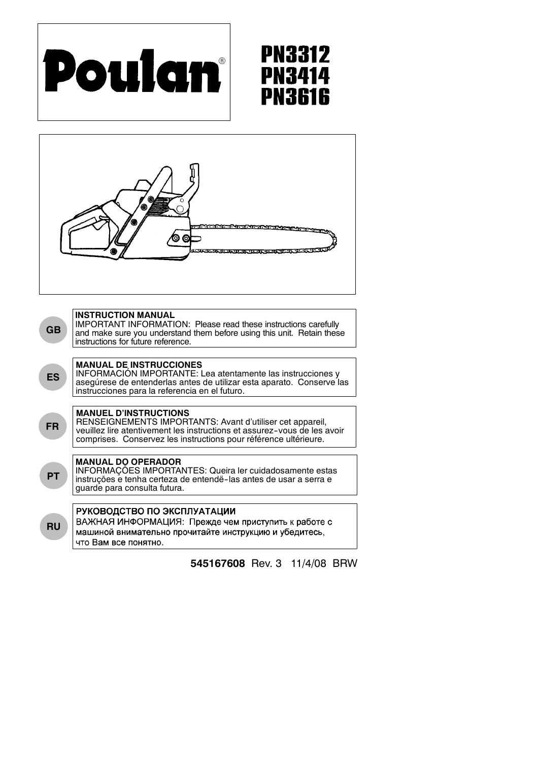

# **PN3312 PN3414** PN3616



RENSEIGNEMENTS IMPORTANTS: Avant d'utiliser cet appareil, veuillez lire atentivement les instructions et assurez-vous de les avoir comprises. Conservez les instructions pour référence ultérieure.

# **MANUAL DO OPERADOR**

INFORMAÇÕES IMPORTANTES: Queira ler cuidadosamente estas instruções e tenha certeza de entendë--las antes de usar a serra e guarde para consulta futura.

**RU**

**PT**

# РУКОВОДСТВО ПО ЭКСПЛУАТАЦИИ

ВАЖНАЯ ИНФОРМАЦИЯ: Прежде чем приступить к работе с машиной внимательно прочитайте инструкцию и убедитесь, что Вам все понятно.

# **545167608** Rev. 3 11/4/08 BRW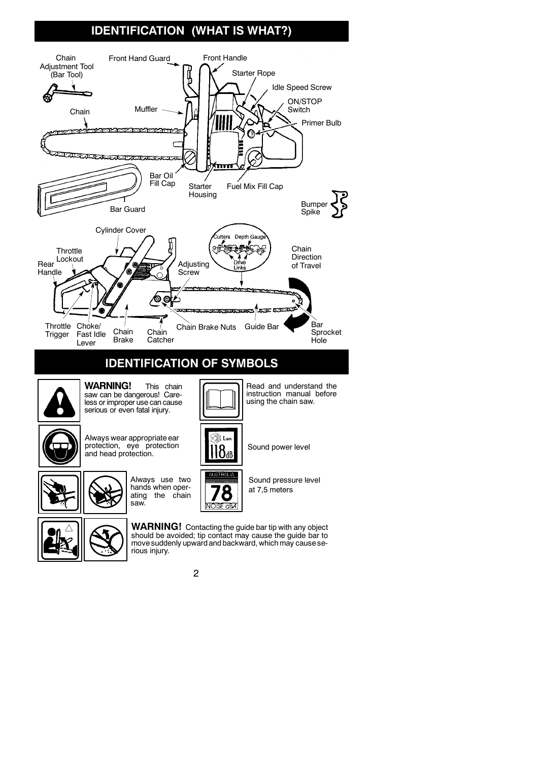# **IDENTIFICATION (WHAT IS WHAT?)**



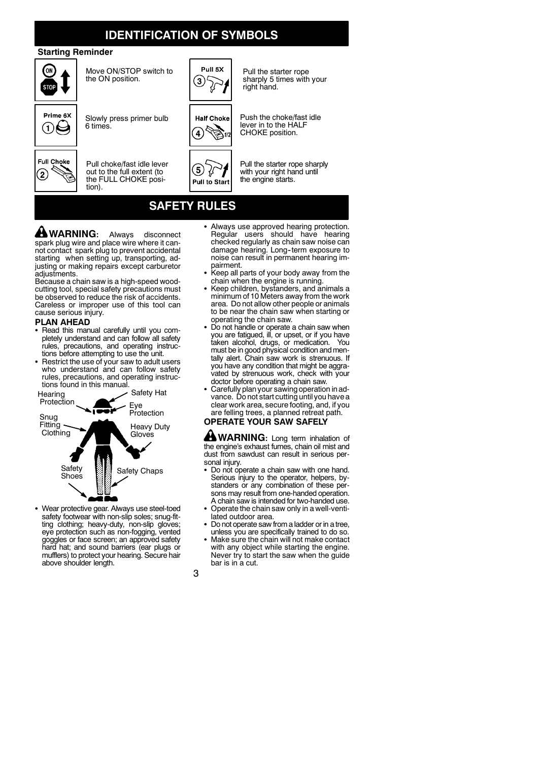# **IDENTIFICATION OF SYMBOLS**

## **Starting Reminder**



Move ON/STOP switch to the ON position.



Slowly press primer bulb

6 times.

tion).



Pull choke/fast idle lever out to the full extent (to the FULL CHOKE posi-



Pull the starter rope sharply 5 times with your right hand.



Push the choke/fast idle lever in to the HALF CHOKE position.

Pull the starter rope sharply ₽ with your right hand until the engine starts. **Pull to Start** 

# **SAFETY RULES**

5.

**WARNING:** Always disconnect spark plug wire and place wire where it cannot contact spark plug to prevent accidental starting when setting up, transporting, adjusting or making repairs except carburetor adjustments.

Because a chain saw is a high-speed woodcutting tool, special safety precautions must be observed to reduce the risk of accidents. Careless or improper use of this tool can cause serious injury.

## **PLAN AHEAD**

- Read this manual carefully until you completely understand and can follow all safety rules, precautions, and operating instructions before attempting to use the unit.
- S Restrict the use of your saw to adult users who understand and can follow safety rules, precautions, and operating instructions found in this manual.



• Wear protective gear. Always use steel-toed safety footwear with non-slip soles; snug-fitting clothing; heavy-duty, non-slip gloves; eye protection such as non-fogging, vented goggles or face screen; an approved safety hard hat; and sound barriers (ear plugs or mufflers) to protect your hearing. Secure hair above shoulder length.

- Always use approved hearing protection. Regular users should have hearing checked regularly as chain saw noise can damage hearing. Long-term exposure to noise can result in permanent hearing im-
- pairment. S Keep all parts of your body away from the
- chain when the engine is running. S Keep children, bystanders, and animals a minimum of 10 Meters away from the work area. Do not allow other people or animals to be near the chain saw when starting or operating the chain saw.
- Do not handle or operate a chain saw when you are fatigued, ill, or upset, or if you have taken alcohol, drugs, or medication. You must be in good physical condition and mentally alert. Chain saw work is strenuous. If you have any condition that might be aggravated by strenuous work, check with your doctor before operating a chain saw.
- Carefully plan your sawing operation in advance. Do not start cutting until you have a clear work area, secure footing, and, if you are felling trees, a planned retreat path.

# **OPERATE YOUR SAW SAFELY**

**WARNING:** Long term inhalation of the engine's exhaust fumes, chain oil mist and dust from sawdust can result in serious personal injury.

- Do not operate a chain saw with one hand. Serious injury to the operator, helpers, bystanders or any combination of these persons may result from one-handed operation. A chain saw is intended for two-handed use.
- Operate the chain saw only in a well-ventilated outdoor area.
- Do not operate saw from a ladder or in a tree, unless you are specifically trained to do so.
- Make sure the chain will not make contact with any object while starting the engine. Never try to start the saw when the guide bar is in a cut.

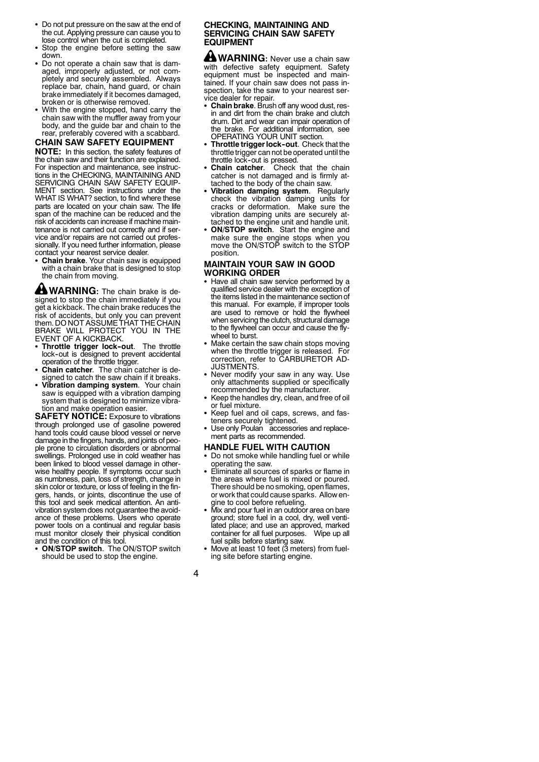- Do not put pressure on the saw at the end of the cut. Applying pressure can cause you to lose control when the cut is completed.
- Stop the engine before setting the saw down.
- Do not operate a chain saw that is damaged, improperly adjusted, or not completely and securely assembled. Always replace bar, chain, hand guard, or chain brake immediately if it becomes damaged, broken or is otherwise removed.
- With the engine stopped, hand carry the chain saw with the muffler away from your body, and the guide bar and chain to the rear, preferably covered with a scabbard.

### **CHAIN SAW SAFETY EQUIPMENT**

**NOTE:** In this section, the safety features of the chain saw and their function are explained. For inspection and maintenance, see instructions in the CHECKING, MAINTAINING AND SERVICING CHAIN SAW SAFETY EQUIP-MENT section. See instructions under the WHAT IS WHAT? section, to find where these parts are located on your chain saw. The life span of the machine can be reduced and the risk of accidents can increase if machine maintenance is not carried out correctly and if service and/or repairs are not carried out professionally. If you need further information, please contact your nearest service dealer.

• Chain brake. Your chain saw is equipped with a chain brake that is designed to stop the chain from moving.

**WARNING:** The chain brake is designed to stop the chain immediately if you get a kickback. The chain brake reduces the risk of accidents, but only you can prevent them. DO NOT ASSUME THAT THE CHAIN BRAKE WILL PROTECT YOU IN THE EVENT OF A KICKBACK.

- **· Throttle trigger lock-out**. The throttle lock-out is designed to prevent accidental operation of the throttle trigger.
- Chain catcher. The chain catcher is designed to catch the saw chain if it breaks.
- Vibration damping system. Your chain saw is equipped with a vibration damping system that is designed to minimize vibration and make operation easier.

**SAFETY NOTICE:** Exposure to vibrations through prolonged use of gasoline powered hand tools could cause blood vessel or nerve damage inthe fingers, hands, and joints of people prone to circulation disorders or abnormal swellings. Prolonged use in cold weather has been linked to blood vessel damage in otherwise healthy people. If symptoms occur such as numbness, pain, loss of strength, change in skin color or texture, or loss of feeling in the fingers, hands, or joints, discontinue the use of this tool and seek medical attention. An antivibration system does not guarantee the avoidance of these problems. Users who operate power tools on a continual and regular basis must monitor closely their physical condition and the condition of this tool.

• ON/STOP switch. The ON/STOP switch should be used to stop the engine.

### **CHECKING, MAINTAINING AND SERVICING CHAIN SAW SAFETY EQUIPMENT**

**WARNING:** Never use a chain saw with defective safety equipment. Safety equipment must be inspected and maintained. If your chain saw does not pass inspection, take the saw to your nearest ser-

- vice dealer for repair. S **Chain brake**. Brush off any wood dust, resin and dirt from the chain brake and clutch drum. Dirt and wear can impair operation of the brake. For additional information, see OPERATING YOUR UNIT section.
- Throttle trigger lock-out. Check that the throttle trigger can not be operated until the throttle lock-out is pressed.<br>Chain catcher. Check
- Check that the chain catcher is not damaged and is firmly attached to the body of the chain saw.
- **Vibration damping system**. Regularly check the vibration damping units for cracks or deformation. Make sure the vibration damping units are securely attached to the engine unit and handle unit.
- **ON/STOP switch.** Start the engine and make sure the engine stops when you move the ON/STOP switch to the STOP position.

### **MAINTAIN YOUR SAW IN GOOD WORKING ORDER**

- Have all chain saw service performed by a qualified service dealer with the exception of the items listed in themaintenance section of this manual. For example, if improper tools are used to remove or hold the flywheel when servicing the clutch, structural damage to the flywheel can occur and cause the flywheel to burst.
- Make certain the saw chain stops moving when the throttle trigger is released. For correction, refer to CARBURETOR AD-JUSTMENTS.
- Never modify your saw in any way. Use only attachments supplied or specifically recommended by the manufacturer.
- Keep the handles dry, clean, and free of oil or fuel mixture.
- Keep fuel and oil caps, screws, and fasteners securely tightened.
- Use only Poulan accessories and replacement parts as recommended.

### **HANDLE FUEL WITH CAUTION**

- Do not smoke while handling fuel or while operating the saw.
- Eliminate all sources of sparks or flame in the areas where fuel is mixed or poured. There should be no smoking, openflames, or work that could cause sparks. Allow engine to cool before refueling.
- Mix and pour fuel in an outdoor area on bare ground; store fuel in a cool, dry, well ventilated place; and use an approved, marked<br>container for all fuel purposes. Wipe up all container for all fuel purposes. fuel spills before starting saw.
- Move at least 10 feet (3 meters) from fueling site before starting engine.

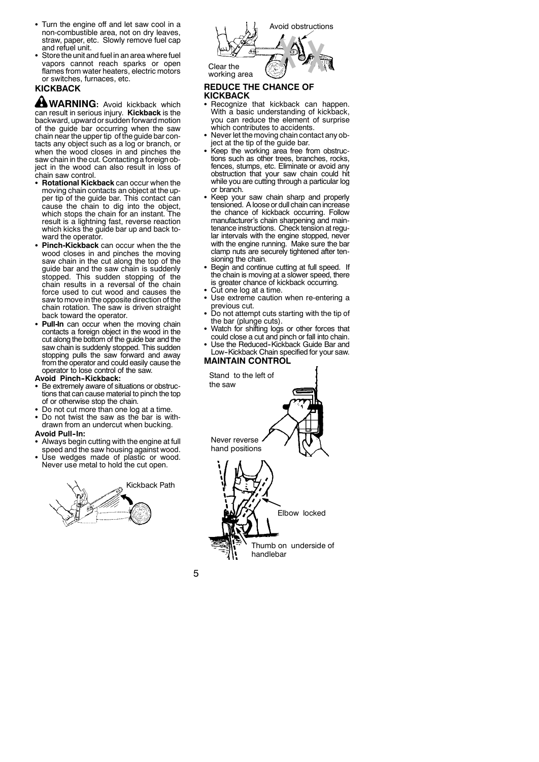- Turn the engine off and let saw cool in a non-combustible area, not on dry leaves, straw, paper, etc. Slowly remove fuel cap and refuel unit.
- Store the unit and fuel in an area where fuel vapors cannot reach sparks or open flames from water heaters, electric motors or switches, furnaces, etc.

# **KICKBACK**

**WARNING:** Avoid kickback which can result in serious injury. **Kickback** is the backward, upward or sudden forward motion of the guide bar occurring when the saw chain near the upper tip of the guide bar contacts any object such as a log or branch, or when the wood closes in and pinches the saw chain in the cut. Contacting a foreign object in the wood can also result in loss of chain saw control.

- **Rotational Kickback** can occur when the moving chain contacts an object at the upper tip of the guide bar. This contact can cause the chain to dig into the object, which stops the chain for an instant. The result is a lightning fast, reverse reaction which kicks the guide bar up and back toward the operator.
- **Pinch-Kickback** can occur when the the wood closes in and pinches the moving saw chain in the cut along the top of the guide bar and the saw chain is suddenly stopped. This sudden stopping of the chain results in a reversal of the chain force used to cut wood and causes the saw to move in the opposite direction of the chain rotation. The saw is driven straight back toward the operator.
- Pull-In can occur when the moving chain contacts a foreign object in the wood in the cut along the bottom of the guide bar and the saw chain is suddenly stopped. This sudden stopping pulls the saw forward and away from the operator and could easily cause the operator to lose control of the saw.

#### Avoid Pinch-Kickback:

- Be extremely aware of situations or obstructions that can cause material to pinch the top of or otherwise stop the chain.
- Do not cut more than one log at a time.
- Do not twist the saw as the bar is withdrawn from an undercut when bucking.

#### **Avoid Pull-In:**

- Always begin cutting with the engine at full speed and the saw housing against wood.
- Use wedges made of plastic or wood. Never use metal to hold the cut open.





## **REDUCE THE CHANCE OF**

### **KICKBACK**

- Recognize that kickback can happen. With a basic understanding of kickback, you can reduce the element of surprise which contributes to accidents.
- Never let the moving chain contact any object at the tip of the guide bar.
- Keep the working area free from obstructions such as other trees, branches, rocks, fences, stumps, etc. Eliminate or avoid any obstruction that your saw chain could hit while you are cutting through a particular log or branch.
- Keep your saw chain sharp and properly tensioned. A loose or dull chain can increase the chance of kickback occurring. Follow manufacturer's chain sharpening and maintenance instructions. Check tension at regular intervals with the engine stopped, never with the engine running. Make sure the bar clamp nuts are securely tightened after tensioning the chain.
- Begin and continue cutting at full speed. If the chain is moving at a slower speed, there is greater chance of kickback occurring.
- Cut one log at a time.
- Use extreme caution when re-entering a previous cut.
- Do not attempt cuts starting with the tip of the bar (plunge cuts).
- Watch for shifting logs or other forces that could close a cut and pinch or fall into chain.
- Use the Reduced-Kickback Guide Bar and Low-Kickback Chain specified for your saw.

# **MAINTAIN CONTROL**

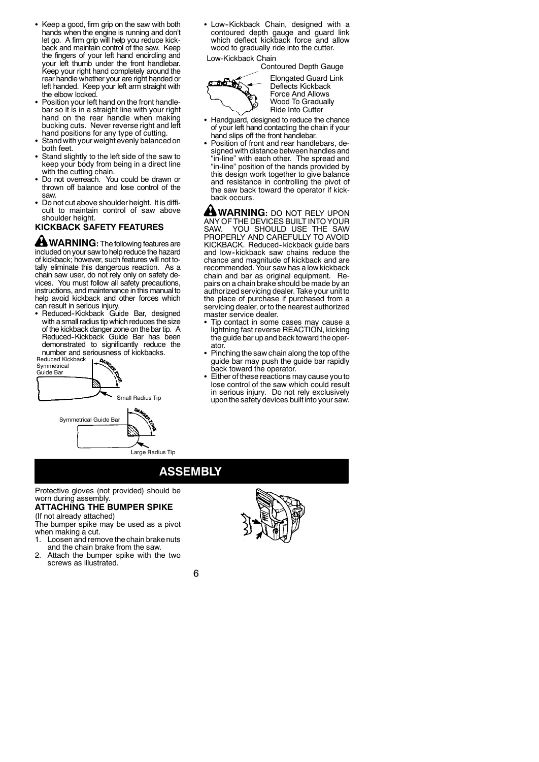- Keep a good, firm grip on the saw with both hands when the engine is running and don't let go. A firm grip will help you reduce kickback and maintain control of the saw. Keep the fingers of your left hand encircling and your left thumb under the front handlebar. Keep your right hand completely around the rear handle whether your are right handed or left handed. Keep your left arm straight with the elbow locked.
- Position your left hand on the front handlebar so it is in a straight line with your right hand on the rear handle when making bucking cuts. Never reverse right and left hand positions for any type of cutting.
- Stand with your weight evenly balanced on both feet.
- Stand slightly to the left side of the saw to keep your body from being in a direct line with the cutting chain.
- Do not overreach. You could be drawn or thrown off balance and lose control of the saw.
- Do not cut above shoulder height. It is difficult to maintain control of saw above shoulder height.

# **KICKBACK SAFETY FEATURES**

**WARNING:** The following features are included on your saw to help reduce the hazard of kickback; however, such features will not to-tally eliminate this dangerous reaction. As a chain saw user, do not rely only on safety devices. You must follow all safety precautions, instructions, and maintenance in this manual to help avoid kickback and other forces which can result in serious injury.

• Reduced-Kickback Guide Bar, designed with a small radius tip which reduces the size of the kickback danger zone on the bar tip. A Reduced--Kickback Guide Bar has been demonstrated to significantly reduce the number and seriousness of kickbacks.



• Low-Kickback Chain, designed with a contoured depth gauge and guard link which deflect kickback force and allow wood to gradually ride into the cutter. Low-Kickback Chain

Contoured Depth Gauge



Elongated Guard Link Deflects Kickback Force And Allows Wood To Gradually Ride Into Cutter

- Handguard, designed to reduce the chance of your left hand contacting the chain if your hand slips off the front handlebar.
- Position of front and rear handlebars, designed with distance between handles and "in-line" with each other. The spread and "in-line" position of the hands provided by this design work together to give balance and resistance in controlling the pivot of the saw back toward the operator if kickback occurs.

**WARNING:** DO NOT RELY UPON ANY OF THE DEVICES BUILT INTO YOUR SAW. YOU SHOULD USE THE SAW PROPERLY AND CAREFULLY TO AVOID KICKBACK. Reduced-kickback guide bars and low-kickback saw chains reduce the chance and magnitude of kickback and are recommended. Your saw has a low kickback chain and bar as original equipment. Repairs on a chain brake should be made by an authorized servicing dealer. Take your unit to the place of purchase if purchased from a servicing dealer, or to the nearest authorized master service dealer.

- S Tip contact in some cases may cause a lightning fast reverse REACTION, kicking the guide bar up and back toward the operator.
- Pinching the saw chain along the top of the guide bar may push the guide bar rapidly back toward the operator.
- Either of these reactions may cause you to lose control of the saw which could result in serious injury. Do not rely exclusively uponthe safety devices built into your saw.

# **ASSEMBLY**

Protective gloves (not provided) should be worn during assembly.

#### **ATTACHING THE BUMPER SPIKE** (If not already attached)

The bumper spike may be used as a pivot when making a cut.<br>1. Loosen and rem

- Loosen and remove the chain brake nuts and the chain brake from the saw.
- 2. Attach the bumper spike with the two screws as illustrated.

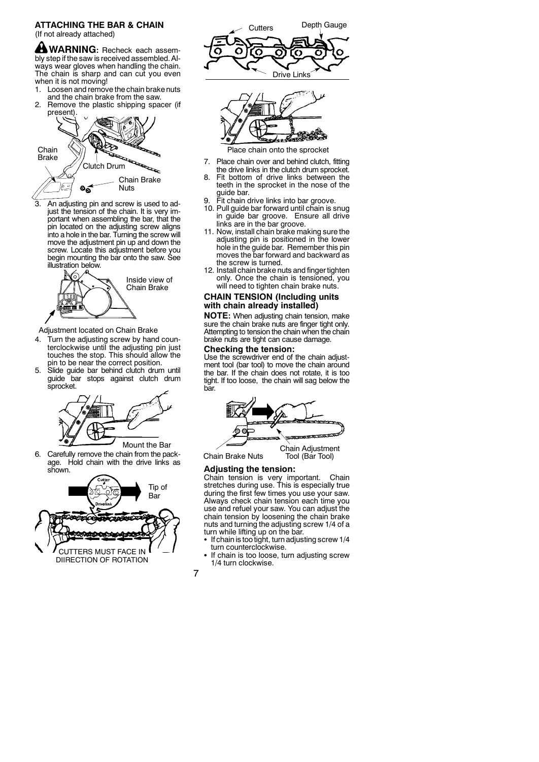### **ATTACHING THE BAR & CHAIN** (If not already attached)

**WARNING:** Recheck each assembly step if the saw is received assembled. Always wear gloves when handling the chain. The chain is sharp and can cut you even when it is not moving!

1. Loosen and remove the chain brake nuts and the chain brake from the saw. 2. Remove the plastic shipping spacer (if



3. An adjusting pin and screw is used to adjust the tension of the chain. It is very important when assembling the bar, that the pin located on the adjusting screw aligns into a hole in the bar. Turning the screw will move the adjustment pin up and down the screw. Locate this adjustment before you begin mounting the bar onto the saw. See illustration below.



### Adjustment located on Chain Brake

- 4. Turn the adjusting screw by hand counterclockwise until the adjusting pin just touches the stop. This should allow the pin to be near the correct position.
- 5. Slide guide bar behind clutch drum until guide bar stops against clutch drum sprocket.



Mount the Bar

Carefully remove the chain from the package. Hold chain with the drive links as shown.







Place chain onto the sprocket

- 7. Place chain over and behind clutch, fitting the drive links in the clutch drum sprocket.
- Fit bottom of drive links between the teeth in the sprocket in the nose of the guide bar.
- 
- 9. Fit chain drive links into bar groove. 10. Pull guide bar forward until chain is snug in guide bar groove. Ensure all drive links are in the bar groove.
- 11. Now, install chain brake making sure the adjusting pin is positioned in the lower hole in the guide bar. Remember this pin moves the bar forward and backward as the screw is turned.
- 12. Install chain brake nuts and finger tighten only. Once the chain is tensioned, you will need to tighten chain brake nuts.

# **CHAIN TENSION (Including units with chain already installed)**

**NOTE:** When adjusting chain tension, make sure the chain brake nuts are finger tight only. Attempting to tension the chain when the chain brake nuts are tight can cause damage.

### **Checking the tension:**

Use the screwdriver end of the chain adjustment tool (bar tool) to move the chain around the bar. If the chain does not rotate, it is too tight. If too loose, the chain will sag below the bar.



Chain Brake Nuts

# Tool (Bar Tool)

# **Adjusting the tension:**

Chain tension is very important. Chain stretches during use. This is especially true during the first few times you use your saw. Always check chain tension each time you use and refuel your saw. You can adjust the chain tension by loosening the chain brake nuts and turning the adjusting screw 1/4 of a turn while lifting up on the bar.

- $\bullet$  If chain is too tight, turn adjusting screw 1/4 turn counterclockwise.
- If chain is too loose, turn adjusting screw 1/4 turn clockwise.

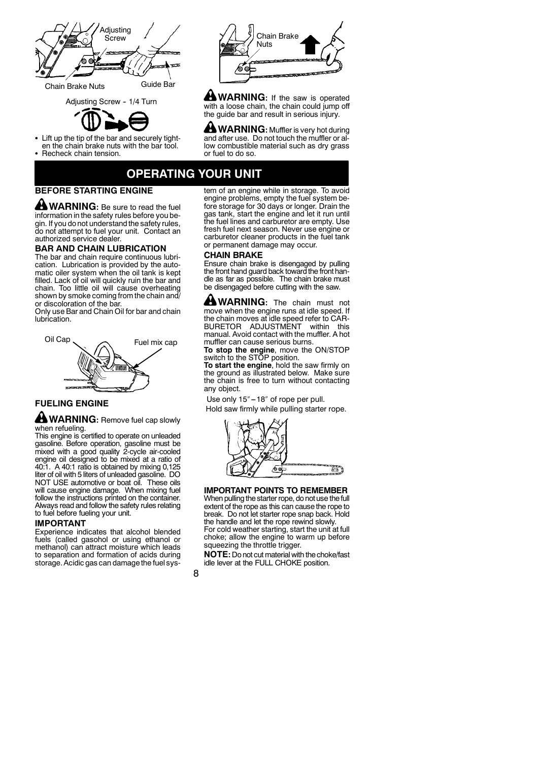

Chain Brake Nuts Guide Bar





- Lift up the tip of the bar and securely tighten the chain brake nuts with the bar tool.
- S Recheck chain tension.



**WARNING:** If the saw is operated with a loose chain, the chain could jump off the guide bar and result in serious injury.

**WARNING:** Muffler is very hot during and after use. Do not touch the muffler or allow combustible material such as dry grass or fuel to do so.

# **OPERATING YOUR UNIT**

# **BEFORE STARTING ENGINE**

**WARNING:** Be sure to read the fuel information in the safety rules before you begin. If you do not understand the safety rules, do not attempt to fuel your unit. Contact an authorized service dealer.

### **BAR AND CHAIN LUBRICATION**

The bar and chain require continuous lubrication. Lubrication is provided by the automatic oiler system when the oil tank is kept filled. Lack of oil will quickly ruin the bar and chain. Too little oil will cause overheating shown by smoke coming from the chain and/ or discoloration of the bar.

Only use Bar and Chain Oil for bar and chain lubrication.



# **FUELING ENGINE**

### **WARNING:** Remove fuel cap slowly when refueling.

This engine is certified to operate on unleaded gasoline. Before operation, gasoline must be mixed with a good quality 2-cycle air-cooled engine oil designed to be mixed at a ratio of 40:1. A 40:1 ratio is obtained by mixing 0,125 liter of oil with 5 liters of unleaded gasoline. DO NOT USE automotive or boat oil. These oils will cause engine damage. When mixing fuel follow the instructions printed on the container. Always read and follow the safety rules relating to fuel before fueling your unit.

### **IMPORTANT**

Experience indicates that alcohol blended fuels (called gasohol or using ethanol or methanol) can attract moisture which leads to separation and formation of acids during storage. Acidic gas can damage the fuel sys-

tem of an engine while in storage. To avoid engine problems, empty the fuel system before storage for 30 days or longer. Drain the gas tank, start the engine and let it run until the fuel lines and carburetor are empty. Use fresh fuel next season. Never use engine or carburetor cleaner products in the fuel tank or permanent damage may occur.

### **CHAIN BRAKE**

Ensure chain brake is disengaged by pulling the front hand guard back toward the front handle as far as possible. The chain brake must be disengaged before cutting with the saw.

**MARNING:** The chain must not move when the engine runs at idle speed. If the chain moves at idle speed refer to CAR-BURETOR ADJUSTMENT within this manual. Avoid contact with the muffler. A hot muffler can cause serious burns.

**To stop the engine**, move the ON/STOP switch to the STOP position.

**To start the engine**, hold the saw firmly on the ground as illustrated below. Make sure the chain is free to turn without contacting any object.

Use only 15"-18" of rope per pull.

Hold saw firmly while pulling starter rope.



#### **IMPORTANT POINTS TO REMEMBER** When pulling the starter rope, do not use the full

extent of the rope as this can cause the rope to break. Do not let starter rope snap back. Hold the handle and let the rope rewind slowly. For cold weather starting, start the unit at full choke; allow the engine to warm up before

squeezing the throttle trigger. **NOTE:** Do not cut material with the choke/fast

idle lever at the FULL CHOKE position.

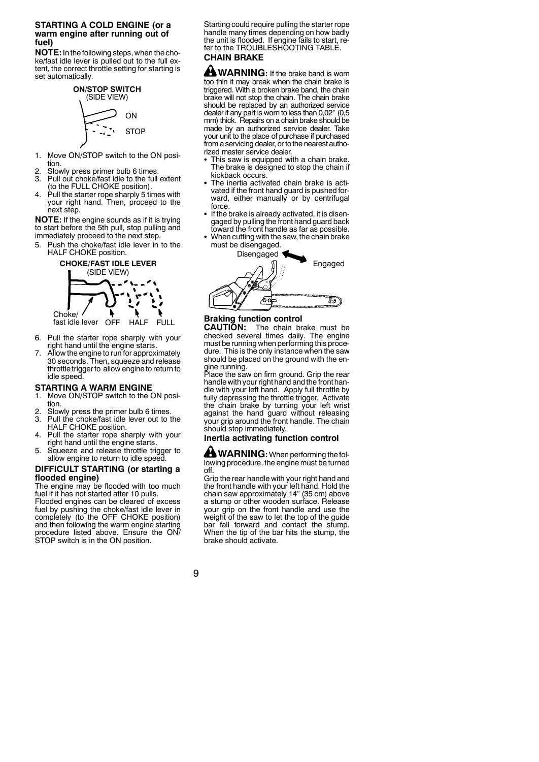### **STARTING A COLD ENGINE (or a warm engine after running out of fuel)**

**NOTE:**Inthefollowing steps, when the choke/fast idle lever is pulled out to the full extent, the correct throttle setting for starting is set automatically.



- 1. Move ON/STOP switch to the ON position.
- 
- 2. Slowly press primer bulb 6 times. 3. Pull out choke/fast idle to the full extent (to the FULL CHOKE position).
- 4. Pull the starter rope sharply 5 times with your right hand. Then, proceed to the next step.

**NOTE:** If the engine sounds as if it is trying to start before the 5th pull, stop pulling and immediately proceed to the next step.

5. Push the choke/fast idle lever in to the HALF CHOKE position.



OFF HALF fast idle lever FULL

- 6. Pull the starter rope sharply with your right hand until the engine starts.
- Allow the engine to run for approximately 30 seconds. Then, squeeze and release throttle trigger to allow engine to return to idle speed.

## **STARTING A WARM ENGINE**

- 1. Move ON/STOP switch to the ON position.
- 2. Slowly press the primer bulb 6 times.<br>3. Pull the choke/fast idle lever out to t Pull the choke/fast idle lever out to the
- HALF CHOKE position. 4. Pull the starter rope sharply with your
- right hand until the engine starts. 5. Squeeze and release throttle trigger to
- allow engine to return to idle speed. **DIFFICULT STARTING (or starting a**

# **flooded engine)**

The engine may be flooded with too much fuel if it has not started after 10 pulls. Flooded engines can be cleared of excess

fuel by pushing the choke/fast idle lever in completely (to the OFF CHOKE position) and then following the warm engine starting procedure listed above. Ensure the ON/ STOP switch is in the ON position.

Starting could require pulling the starter rope handle many times depending on how badly the unit is flooded. If engine fails to start, refer to the TROUBLESHOOTING TABLE. **CHAIN BRAKE**

**WARNING:** If the brake band is worn too thin it may break when the chain brake is triggered. With a broken brake band, the chain brake will not stop the chain. The chain brake should be replaced by an authorized service dealer if any part is worn to less than 0,02″ (0,5 mm) thick. Repairs on a chain brake should be made by an authorized service dealer. Take your unit to the place of purchase if purchased from a servicing dealer, or to the nearest authorized master service dealer.

- This saw is equipped with a chain brake. The brake is designed to stop the chain if kickback occurs.
- The inertia activated chain brake is activated if the front hand guard is pushed for-ward, either manually or by centrifugal force.
- If the brake is already activated, it is disengaged by pulling the front hand guard back toward the front handle as far as possible.
- When cutting with the saw, the chain brake must be disengaged.



# **Braking function control**

**CAUTION:** The chain brake must be checked several times daily. The engine must be running when performing this procedure. This is the only instance when the saw should be placed on the ground with the en-

gine running. Place the saw on firm ground. Grip the rear handle with your right hand andthe front handle with your left hand. Apply full throttle by fully depressing the throttle trigger. Activate the chain brake by turning your left wrist against the hand guard without releasing your grip around the front handle. The chain should stop immediately.

# **Inertia activating function control**

**WARNING:** When performing the following procedure, the engine must be turned off.

Grip the rear handle with your right hand and the front handle with your left hand. Hold the chain saw approximately 14" (35 cm) above a stump or other wooden surface. Release your grip on the front handle and use the weight of the saw to let the top of the guide bar fall forward and contact the stump. When the tip of the bar hits the stump, the brake should activate.

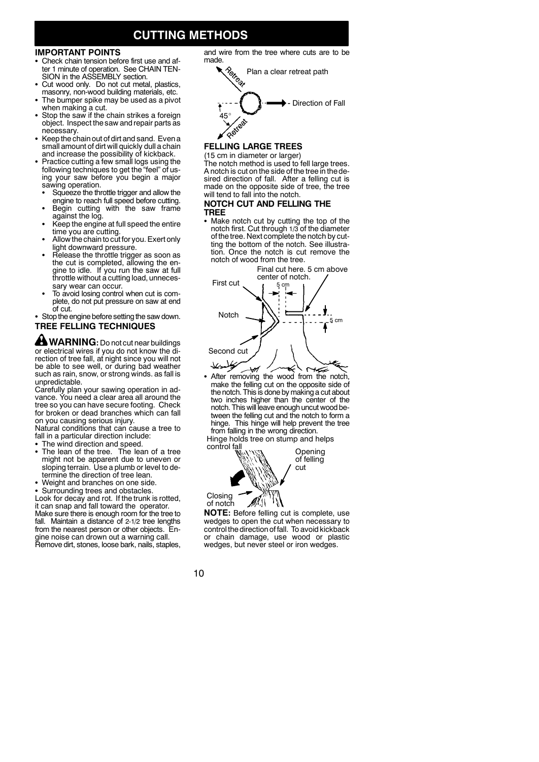# **CUTTING METHODS**

### **IMPORTANT POINTS**

- Check chain tension before first use and after 1 minute of operation. See CHAIN TEN-SION in the ASSEMBLY section.
- Cut wood only. Do not cut metal, plastics, masonry, non-wood building materials, etc.
- The bumper spike may be used as a pivot when making a cut.
- Stop the saw if the chain strikes a foreign object. Inspect the saw and repair parts as necessary.
- Keep the chain out of dirt and sand. Even a small amount of dirt will quickly dull a chain and increase the possibility of kickback.
- Practice cutting a few small logs using the following techniques to get the "feel" of using your saw before you begin a major sawing operation.
- Squeeze the throttle trigger and allow the<br>engine to reach full speed before cutting.
- Begin cutting with the saw frame against the log.
- Keep the engine at full speed the entire time you are cutting.
- Allow the chain to cut for you. Exert only
- light downward pressure.<br>• Release the throttle trigger as soon as<br>the cut is completed, allowing the engine to idle. If you run the saw at full throttle without a cutting load, unnecessary wear can occur.
- To avoid losing control when cut is complete, do not put pressure on saw at end

of cut.<br>• Stop the engine before setting the saw down. **TREE FELLING TECHNIQUES**

 $\triangle$  WARNING: Do not cut near buildings or electrical wires if you do not know the direction of tree fall, at night since you will not be able to see well, or during bad weather such as rain, snow, or strong winds. as fall is unpredictable.

Carefully plan your sawing operation in advance. You need a clear area all around the tree so you can have secure footing. Check for broken or dead branches which can fall on you causing serious injury.

Natural conditions that can cause a tree to fall in a particular direction include:

- The wind direction and speed.
- The lean of the tree. The lean of a tree might not be apparent due to uneven or sloping terrain. Use a plumb or level to determine the direction of tree lean.
- Weight and branches on one side.

• Surrounding trees and obstacles.

Look for decay and rot. If the trunk is rotted, it can snap and fall toward the operator. Make sure there is enough room for the tree to fall. Maintain a distance of 2-1/2 tree lengths from the nearest person or other objects. En-gine noise can drown out a warning call. Remove dirt, stones, loose bark, nails, staples, made.<br>Petron Direction of Fall 45° astest Plan a clear retreat path

and wire from the tree where cuts are to be

### **FELLING LARGE TREES** (15 cm in diameter or larger)

The notch method is used to fell large trees. A notch is cut on the side of the tree in the desired direction of fall. After a felling cut is made on the opposite side of tree, the tree will tend to fall into the notch.

### **NOTCH CUT AND FELLING THE TREE**

• Make notch cut by cutting the top of the notch first. Cut through 1/3 of the diameter of the tree. Next complete the notch by cutting the bottom of the notch. See illustration. Once the notch is cut remove the notch of wood from the tree.



₩ • After removing the wood from the notch, make the felling cut on the opposite side of the notch. This is done by making a cut about two inches higher than the center of the notch. This will leave enough uncut wood be-tween the felling cut and the notch to form a hinge. This hinge will help prevent the tree from falling in the wrong direction.

Hinge holds tree on stump and helps control fall



**NOTE:** Before felling cut is complete, use wedges to open the cut when necessary to controlthe direction of fall. To avoid kickback or chain damage, use wood or plastic wedges, but never steel or iron wedges.

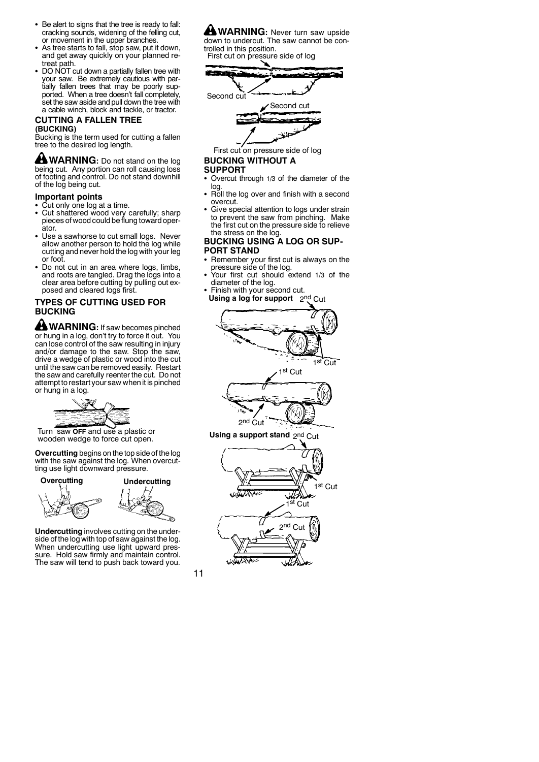- Be alert to signs that the tree is ready to fall: cracking sounds, widening of the felling cut, or movement in the upper branches.
- As tree starts to fall, stop saw, put it down, and get away quickly on your planned retreat path.
- DO NOT cut down a partially fallen tree with your saw. Be extremely cautious with partially fallen trees that may be poorly supported. When a tree doesn't fall completely, set the saw aside and pull down the tree with a cable winch, block and tackle, or tractor.

#### **CUTTING A FALLEN TREE (BUCKING)**

Bucking is the term used for cutting a fallen tree to the desired log length.

**WARNING:** Do not stand on the log being cut. Any portion can roll causing loss of footing and control. Do not stand downhill of the log being cut.

#### **Important points**

- Cut only one log at a time.
- Cut shattered wood very carefully; sharp pieces of wood could beflung toward operator.
- Use a sawhorse to cut small logs. Never allow another person to hold the log while cutting and never hold the log with your leg or foot.
- Do not cut in an area where logs, limbs, and roots are tangled. Drag the logs into a clear area before cutting by pulling out exposed and cleared logs first.

# **TYPES OF CUTTING USED FOR BUCKING**

**WARNING:** If saw becomes pinched or hung in a log, don't try to force it out. You can lose control of the saw resulting in injury and/or damage to the saw. Stop the saw, drive a wedge of plastic or wood into the cut until the saw can be removed easily. Restart the saw and carefully reenter the cut. Do not attempt to restart your saw when it is pinched or hung in a log.



Turn saw **OFF** and use a plastic or wooden wedge to force cut open.

**Overcutting** begins on the top side of the log with the saw against the log. When overcutting use light downward pressure.

# **Overcutting Undercutting**



**Undercutting** involves cutting on the underside of the log with top of saw against the log. When undercutting use light upward pressure. Hold saw firmly and maintain control. The saw will tend to push back toward you.

**WARNING:** Never turn saw upside down to undercut. The saw cannot be controlled in this position.

First cut on pressure side of log





First cut on pressure side of log

# **BUCKING WITHOUT A**

### **SUPPORT**

- Overcut through 1/3 of the diameter of the log.
- Roll the log over and finish with a second overcut.
- Give special attention to logs under strain to prevent the saw from pinching. Make the first cut on the pressure side to relieve the stress on the log.

# **BUCKING USING A LOG OR SUP-PORT STAND**

- S Remember your first cut is always on the pressure side of the log. S Your first cut should extend 1/3 of the
- diameter of the log. S Finish with your second cut.
- Using a log for support 2nd Cut



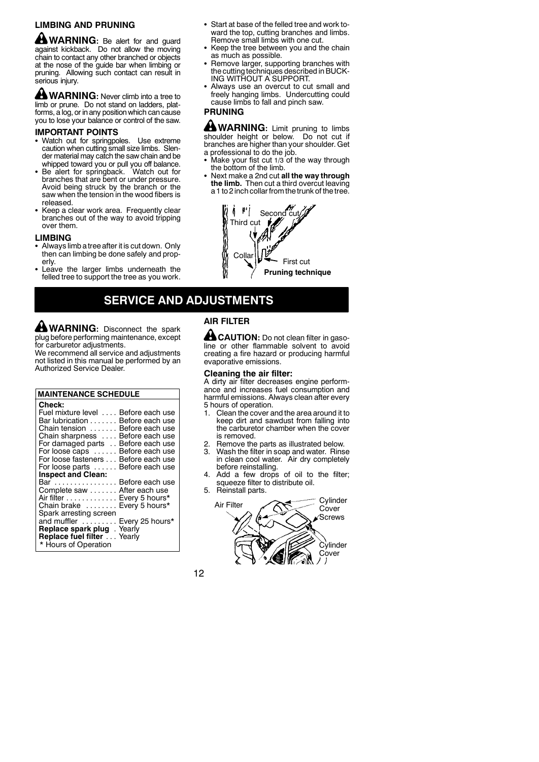# **LIMBING AND PRUNING**

**MARNING:** Be alert for and guard against kickback. Do not allow the moving chain to contact any other branched or objects at the nose of the guide bar when limbing or pruning. Allowing such contact can result in serious injury.

**WARNING:** Never climb into a tree to limb or prune. Do not stand on ladders, platforms, a log, or in any position which can cause you to lose your balance or control of the saw.

### **IMPORTANT POINTS**

- Watch out for springpoles. Use extreme caution when cutting small size limbs. Slender material may catch the saw chain and be
- whipped toward you or pull you off balance.<br>Be alert for springback. Watch out for branches that are bent or under pressure. Avoid being struck by the branch or the saw when the tension in the wood fibers is released.
- Keep a clear work area. Frequently clear branches out of the way to avoid tripping over them.

#### **LIMBING**

- Always limb a tree after it is cut down. Only then can limbing be done safely and properly.
- Leave the larger limbs underneath the felled tree to support the tree as you work.
- Start at base of the felled tree and work toward the top, cutting branches and limbs. Remove small limbs with one cut.
- Keep the tree between you and the chain as much as possible.
- Remove larger, supporting branches with the cuttingtechniques described in BUCK-ING WITHOUT A SUPPORT.
- Always use an overcut to cut small and freely hanging limbs. Undercutting could cause limbs to fall and pinch saw.

# **PRUNING**

**WARNING:** Limit pruning to limbs shoulder height or below. Do not cut if branches are higher than your shoulder. Get a professional to do the job.

- Make your fist cut  $1/3$  of the way through the bottom of the limb.
- S Next make a 2nd cut **all the way through the limb.** Then cut a third overcut leaving a 1 to 2 inch collar from the trunk of the tree.



# **SERVICE AND ADJUSTMENTS**

**WARNING:** Disconnect the spark plug before performing maintenance, except for carburetor adjustments.

We recommend all service and adjustments not listed in this manual be performed by an Authorized Service Dealer.

| <b>MAINTENANCE SCHEDULE</b>                                                                                                                                                                                                                                                                                                                                                    |  |  |  |  |  |
|--------------------------------------------------------------------------------------------------------------------------------------------------------------------------------------------------------------------------------------------------------------------------------------------------------------------------------------------------------------------------------|--|--|--|--|--|
| <b>Check:</b><br>Fuel mixture level<br>Before each use<br>Bar lubrication Before each use<br>Before each use<br>Chain tension<br>Before each use<br>Chain sharpness<br>For damaged parts<br>Before each use<br>For loose caps  Before each use<br>For loose fasteners Before each use<br>For loose parts  Before each use<br><b>Inspect and Clean:</b><br>Bar  Before each use |  |  |  |  |  |
| Complete saw After each use<br>Air filter Every 5 hours*<br>Chain brake  Every 5 hours*<br>Spark arresting screen<br>and muffler  Every 25 hours*<br>Replace spark plug . Yearly<br>Replace fuel filter Yearly<br>* Hours of Operation                                                                                                                                         |  |  |  |  |  |

# **AIR FILTER**

**CAUTION:** Do not clean filter in gasoline or other flammable solvent to avoid creating a fire hazard or producing harmful evaporative emissions.

#### **Cleaning the air filter:**

A dirty air filter decreases engine perform-ance and increases fuel consumption and harmful emissions. Always clean after every 5 hours of operation.

- 1. Clean the cover and the area around it to keep dirt and sawdust from falling into the carburetor chamber when the cover is removed.
- 2. Remove the parts as illustrated below.<br>3. Wash the filter in soap and water. Rins
- Wash the filter in soap and water. Rinse in clean cool water. Air dry completely before reinstalling.
- 4. Add a few drops of oil to the filter; squeeze filter to distribute oil.
- 5. Reinstall parts.

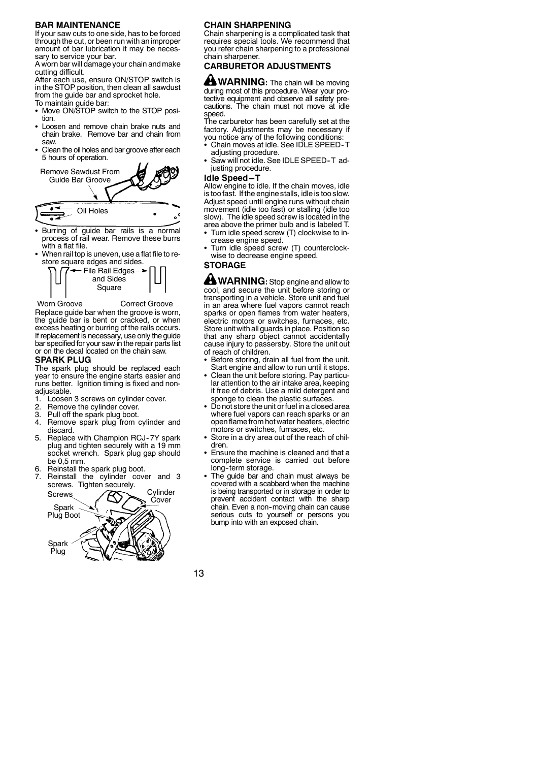### **BAR MAINTENANCE**

If your saw cuts to one side, has to be forced through the cut, or been run with an improper amount of bar lubrication it may be necessary to service your bar. A worn bar will damage your chain andmake

cutting difficult.

After each use, ensure ON/STOP switch is in the STOP position, then clean all sawdust from the guide bar and sprocket hole.

- 
- To maintain guide bar: S Move ON/STOP switch to the STOP position.
- Loosen and remove chain brake nuts and chain brake. Remove bar and chain from saw.
- Clean the oil holes and bar groove after each 5 hours of operation.



- Burring of guide bar rails is a normal process of rail wear. Remove these burrs with a flat file.
- When rail top is uneven, use a flat file to restore square edges and sides.



Worn Groove **Correct Groove** Replace guide bar when the groove is worn, the guide bar is bent or cracked, or when excess heating or burring of the rails occurs. If replacement is necessary, use only the guide bar specified for your saw in the repair parts list or on the decal located on the chain saw.

# **SPARK PLUG**

The spark plug should be replaced each year to ensure the engine starts easier and runs better. Ignition timing is fixed and nonadjustable.

- 1. Loosen 3 screws on cylinder cover.
- 2. Remove the cylinder cover.
- 
- 3. Pull off the spark plug boot. 4. Remove spark plug from cylinder and discard.
- 5. Replace with Champion RCJ-7Y spark plug and tighten securely with a 19 mm socket wrench. Spark plug gap should be 0,5 mm.
- Reinstall the spark plug boot.
- Reinstall the cylinder cover and 3 screws. Tighten securely.



### **CHAIN SHARPENING**

Chain sharpening is a complicated task that requires special tools. We recommend that you refer chain sharpening to a professional chain sharpener.

# **CARBURETOR ADJUSTMENTS**

**WARNING:** The chain will be moving during most of this procedure. Wear your protective equipment and observe all safety precautions. The chain must not move at idle speed.

The carburetor has been carefully set at the factory. Adjustments may be necessary if

- you notice any of the following conditions: S Chain moves at idle. See IDLE SPEED--T adjusting procedure.
- Saw will not idle. See IDLE SPEED-T adjusting procedure.

#### **Idle Speed-T**

Allow engine to idle. If the chain moves, idle is too fast. If the engine stalls, idle is too slow. Adjust speed until engine runs without chain movement (idle too fast) or stalling (idle too slow). The idle speed screw is located in the area above the primer bulb and is labeled T.

- Turn idle speed screw (T) clockwise to increase engine speed.
- Turn idle speed screw (T) counterclockwise to decrease engine speed.

### **STORAGE**

**WARNING:** Stop engine and allow to cool, and secure the unit before storing or transporting in a vehicle. Store unit and fuel in an area where fuel vapors cannot reach sparks or open flames from water heaters, electric motors or switches, furnaces, etc. Store unit with all guards in place. Position so that any sharp object cannot accidentally cause injury to passersby. Store the unit out of reach of children.

- Before storing, drain all fuel from the unit. Start engine and allow to run until it stops.
- Clean the unit before storing. Pay particular attention to the air intake area, keeping it free of debris. Use a mild detergent and sponge to clean the plastic surfaces.
- Do not store the unit or fuel in a closed area where fuel vapors can reach sparks or an openflame from hot water heaters, electric motors or switches, furnaces, etc.
- Store in a dry area out of the reach of children.
- Ensure the machine is cleaned and that a complete service is carried out before long-term storage.
- The guide bar and chain must always be covered with a scabbard when the machine is being transported or in storage in order to prevent accident contact with the sharp chain. Even a non-moving chain can cause serious cuts to yourself or persons you bump into with an exposed chain.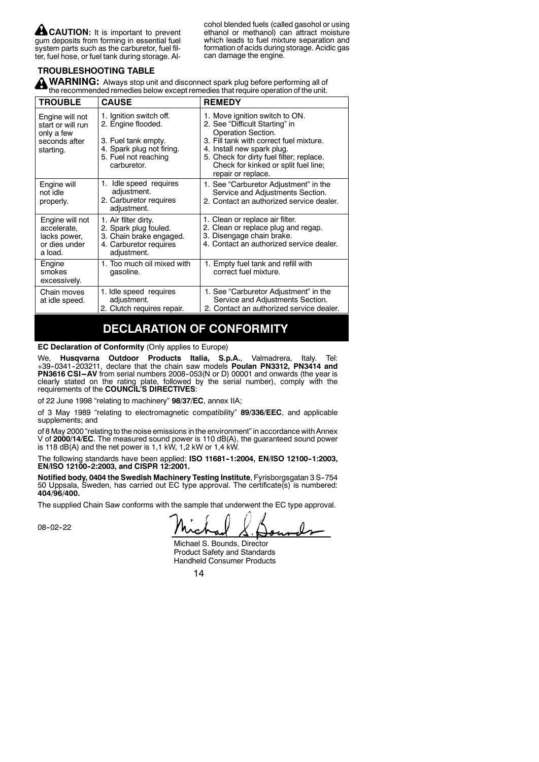**CAUTION:** It is important to prevent gum deposits from forming in essential fuel system parts such as the carburetor, fuel filter, fuel hose, or fuel tank during storage. Al-

cohol blended fuels (called gasohol or using ethanol or methanol) can attract moisture which leads to fuel mixture separation and formation of acids during storage. Acidic gas can damage the engine.

## **TROUBLESHOOTING TABLE**

**WARNING:** Always stop unit and disconnect spark plug before performing all of the recommended remedies below except remedies that require operation of the unit.

| <b>TROUBLE</b>                                                             | <b>CAUSE</b>                                                                                                      | <b>REMEDY</b>                                                                                                                                   |
|----------------------------------------------------------------------------|-------------------------------------------------------------------------------------------------------------------|-------------------------------------------------------------------------------------------------------------------------------------------------|
| Engine will not<br>start or will run<br>only a few                         | 1. Ignition switch off.<br>2. Engine flooded.                                                                     | 1. Move ignition switch to ON.<br>2. See "Difficult Starting" in<br>Operation Section.<br>3. Fill tank with correct fuel mixture.               |
| seconds after<br>starting.                                                 | 3. Fuel tank empty.<br>4. Spark plug not firing.<br>5. Fuel not reaching<br>carburetor.                           | 4. Install new spark plug.<br>5. Check for dirty fuel filter; replace.<br>Check for kinked or split fuel line;<br>repair or replace.            |
| Engine will<br>not idle<br>properly.                                       | Idle speed requires<br>1.<br>adjustment.<br>2. Carburetor requires<br>adjustment.                                 | 1. See "Carburetor Adjustment" in the<br>Service and Adjustments Section.<br>2. Contact an authorized service dealer.                           |
| Engine will not<br>accelerate,<br>lacks power,<br>or dies under<br>a load. | 1. Air filter dirty.<br>2. Spark plug fouled.<br>3. Chain brake engaged.<br>4. Carburetor requires<br>adjustment. | 1. Clean or replace air filter.<br>2. Clean or replace plug and regap.<br>3. Disengage chain brake.<br>4. Contact an authorized service dealer. |
| Engine<br>smokes<br>excessively.                                           | 1. Too much oil mixed with<br>gasoline.                                                                           | 1. Empty fuel tank and refill with<br>correct fuel mixture.                                                                                     |
| Chain moves<br>at idle speed.                                              | 1. Idle speed requires<br>adjustment.<br>2. Clutch requires repair.                                               | 1. See "Carburetor Adjustment" in the<br>Service and Adjustments Section.<br>2. Contact an authorized service dealer.                           |

# **DECLARATION OF CONFORMITY**

**EC Declaration of Conformity** (Only applies to Europe)

We, **Husqvarna Outdoor Products Italia, S.p.A.**, Valmadrera, Italy. Tel: +39-0341-203211, declare that the chain saw models **Poulan PN3312, PN3414 and**<br>**PN3616 CSI–AV** from serial numbers 2008-053(N or D) 00001 and onwards (the year is clearly stated on the rating plate, followed by the serial number), comply with the requirements of the **COUNCIL'S DIRECTIVES**:

of 22 June 1998 "relating to machinery" **98/37/EC**, annex IIA;

of 3 May 1989 "relating to electromagnetic compatibility" **89/336/EEC**, and applicable supplements; and

of 8 May 2000 "relating to the noise emissions in the environment" in accordance with Annex V of **2000/14/EC**. The measured sound power is 110 dB(A), the guaranteed sound power is 118  $dB(A)$  and the net power is 1,1 kW, 1,2 kW or 1,4 kW.

The following standards have been applied: **ISO 11681-1:2004, EN/ISO 12100-1:2003,**<br>**EN/ISO 12100-2:2003, and CISPR 12:2001.** 

**Notified body, 0404 the Swedish Machinery Testing Institute**, Fyrisborgsgatan 3 S--754 50 Uppsala, Sweden, has carried out EC type approval. The certificate(s) is numbered: **404/96/400.**

The supplied Chain Saw conforms with the sample that underwent the EC type approval.

08-02-22

Michael S. Bounds, Director Product Safety and Standards Handheld Consumer Products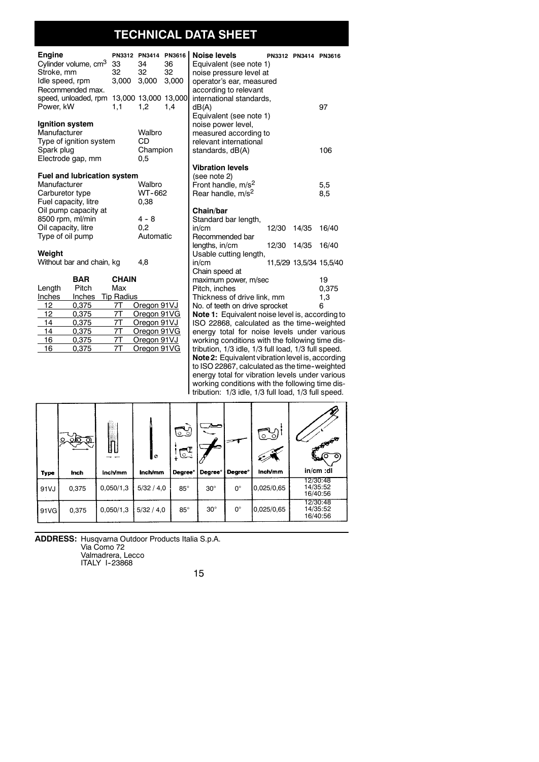# **TECHNICAL DATA SHEET**

| <b>Engine</b><br>Cylinder volume, cm <sup>3</sup> | 33                | PN3312 PN3414 PN3616<br>34 | 36    | <b>Noise levels</b><br>Equivalent (see note 1)                                                                                                                                                                                                                                                                                                                                       |       | PN3312 PN3414 PN3616 |                         |
|---------------------------------------------------|-------------------|----------------------------|-------|--------------------------------------------------------------------------------------------------------------------------------------------------------------------------------------------------------------------------------------------------------------------------------------------------------------------------------------------------------------------------------------|-------|----------------------|-------------------------|
| Stroke, mm                                        | 32                | 32                         | 32    | noise pressure level at                                                                                                                                                                                                                                                                                                                                                              |       |                      |                         |
| Idle speed, rpm                                   | 3,000             | 3,000                      | 3,000 | operator's ear, measured                                                                                                                                                                                                                                                                                                                                                             |       |                      |                         |
| Recommended max.                                  |                   |                            |       | according to relevant                                                                                                                                                                                                                                                                                                                                                                |       |                      |                         |
| speed, unloaded, rpm 13,000 13,000 13,000         |                   |                            |       | international standards,                                                                                                                                                                                                                                                                                                                                                             |       |                      |                         |
| Power, kW                                         | 1.1               | 1.2                        | 1,4   | dB(A)                                                                                                                                                                                                                                                                                                                                                                                |       |                      | 97                      |
|                                                   |                   |                            |       | Equivalent (see note 1)                                                                                                                                                                                                                                                                                                                                                              |       |                      |                         |
| Ignition system                                   |                   |                            |       | noise power level,                                                                                                                                                                                                                                                                                                                                                                   |       |                      |                         |
| Manufacturer                                      |                   | Walbro                     |       | measured according to                                                                                                                                                                                                                                                                                                                                                                |       |                      |                         |
| Type of ignition system                           |                   | CD                         |       | relevant international                                                                                                                                                                                                                                                                                                                                                               |       |                      |                         |
| Spark plug                                        |                   | Champion                   |       | standards, dB(A)                                                                                                                                                                                                                                                                                                                                                                     |       |                      | 106                     |
| Electrode gap, mm                                 |                   | 0,5                        |       | <b>Vibration levels</b>                                                                                                                                                                                                                                                                                                                                                              |       |                      |                         |
| <b>Fuel and lubrication system</b>                |                   |                            |       | (see note 2)                                                                                                                                                                                                                                                                                                                                                                         |       |                      |                         |
| Manufacturer                                      |                   | Walbro                     |       | Front handle, m/s <sup>2</sup>                                                                                                                                                                                                                                                                                                                                                       |       |                      | 5,5                     |
| Carburetor type                                   |                   | WT-662                     |       | Rear handle, m/s <sup>2</sup>                                                                                                                                                                                                                                                                                                                                                        |       |                      | 8,5                     |
| Fuel capacity, litre                              |                   | 0,38                       |       |                                                                                                                                                                                                                                                                                                                                                                                      |       |                      |                         |
| Oil pump capacity at                              |                   |                            |       | Chain/bar                                                                                                                                                                                                                                                                                                                                                                            |       |                      |                         |
| 8500 rpm, ml/min                                  |                   | $4 - 8$                    |       | Standard bar length,                                                                                                                                                                                                                                                                                                                                                                 |       |                      |                         |
| Oil capacity, litre                               |                   | 0.2                        |       | in/cm                                                                                                                                                                                                                                                                                                                                                                                | 12/30 | 14/35                | 16/40                   |
| Type of oil pump                                  |                   | Automatic                  |       | Recommended bar                                                                                                                                                                                                                                                                                                                                                                      |       |                      |                         |
|                                                   |                   |                            |       | lengths, in/cm                                                                                                                                                                                                                                                                                                                                                                       | 12/30 | 14/35                | 16/40                   |
| Weight                                            |                   |                            |       | Usable cutting length,                                                                                                                                                                                                                                                                                                                                                               |       |                      |                         |
| Without bar and chain, kg                         |                   | 4.8                        |       | in/cm                                                                                                                                                                                                                                                                                                                                                                                |       |                      | 11,5/29 13,5/34 15,5/40 |
|                                                   |                   |                            |       | Chain speed at                                                                                                                                                                                                                                                                                                                                                                       |       |                      |                         |
| <b>BAR</b>                                        | <b>CHAIN</b>      |                            |       | maximum power, m/sec                                                                                                                                                                                                                                                                                                                                                                 |       |                      | 19                      |
| Pitch<br>Length                                   | Max               |                            |       | Pitch, inches                                                                                                                                                                                                                                                                                                                                                                        |       |                      | 0.375                   |
| Inches<br>Inches<br>12                            | <b>Tip Radius</b> |                            |       | Thickness of drive link, mm                                                                                                                                                                                                                                                                                                                                                          |       |                      | 1,3<br>6                |
| 0,375<br>12<br>0.375                              | 7T<br>7T          | Oregon 91VJ<br>Oregon 91VG |       | No. of teeth on drive sprocket<br>Note 1: Equivalent noise level is, according to                                                                                                                                                                                                                                                                                                    |       |                      |                         |
| 14<br>0,375                                       | 7Τ                | Oregon 91VJ                |       | ISO 22868, calculated as the time-weighted                                                                                                                                                                                                                                                                                                                                           |       |                      |                         |
| 14<br>0.375                                       | 7T                | Oregon 91VG                |       | energy total for noise levels under various                                                                                                                                                                                                                                                                                                                                          |       |                      |                         |
| 16<br>0,375                                       | 7T                | Oregon 91VJ                |       | working conditions with the following time dis-                                                                                                                                                                                                                                                                                                                                      |       |                      |                         |
| 16<br>0,375                                       | 7T                | Oregon 91VG                |       | tribution, 1/3 idle, 1/3 full load, 1/3 full speed.                                                                                                                                                                                                                                                                                                                                  |       |                      |                         |
|                                                   |                   |                            |       | Note 2: Equivalent vibration level is, according                                                                                                                                                                                                                                                                                                                                     |       |                      |                         |
|                                                   |                   |                            |       | $\overline{1}$ $\overline{1}$ $\overline{0}$ $\overline{0}$ $\overline{0}$ $\overline{0}$ $\overline{0}$ $\overline{7}$ $\overline{2}$ $\overline{1}$ $\overline{2}$ $\overline{1}$ $\overline{2}$ $\overline{1}$ $\overline{2}$ $\overline{1}$ $\overline{2}$ $\overline{1}$ $\overline{2}$ $\overline{1}$ $\overline{2}$ $\overline{1}$ $\overline{2}$ $\overline{1}$ $\overline{$ |       |                      |                         |

to ISO 22867, calculated as the time-weighted energy total for vibration levels under various working conditions with the following time distribution: 1/3 idle, 1/3 full load, 1/3 full speed.

|       | .ಎ6.ನ<br>$\circ$ | ſ.<br>h   | $\circ$    | ತು<br>$\mathbb{C}^{\mathbb{C}}$ |                 |                     | .െ്റ       | <b>PASSAGE</b><br>ىي<br>ю<br>ັດ  |
|-------|------------------|-----------|------------|---------------------------------|-----------------|---------------------|------------|----------------------------------|
| Type  | Inch             | Inch/mm   | Inch/mm    | Degree <sup>°</sup>             | <b>Degree</b> ° | Degree <sup>°</sup> | Inch/mm    | in/cm :dl                        |
| 91VJ  | 0,375            | 0,050/1,3 | 5/32 / 4,0 | $85^\circ$                      | $30^\circ$      | $0^{\circ}$         | 0,025/0,65 | 12/30:48<br>14/35:52<br>16/40:56 |
| 91 VG | 0,375            | 0,050/1,3 | 5/32 / 4,0 | $85^\circ$                      | $30^\circ$      | $0^{\circ}$         | 0,025/0,65 | 12/30:48<br>14/35:52<br>16/40:56 |

**ADDRESS:** Husqvarna Outdoor Products Italia S.p.A.<br>Via Como 72<br>Valmadrera, Lecco<br>ITALY 1-23868